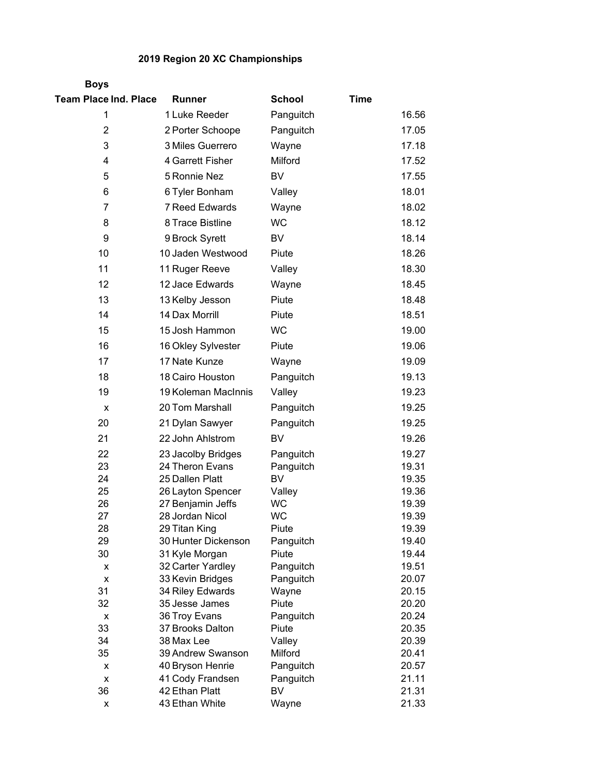## **2019 Region 20 XC Championships**

| <b>Boys</b>                  |                                  |                     |             |                |
|------------------------------|----------------------------------|---------------------|-------------|----------------|
| <b>Team Place Ind. Place</b> | <b>Runner</b>                    | <b>School</b>       | <b>Time</b> |                |
| 1                            | 1 Luke Reeder                    | Panguitch           |             | 16.56          |
| $\overline{2}$               | 2 Porter Schoope                 | Panguitch           |             | 17.05          |
| 3                            | 3 Miles Guerrero                 | Wayne               |             | 17.18          |
| 4                            | 4 Garrett Fisher                 | Milford             |             | 17.52          |
| 5                            | 5 Ronnie Nez                     | <b>BV</b>           |             | 17.55          |
| 6                            | 6 Tyler Bonham                   | Valley              |             | 18.01          |
|                              |                                  |                     |             |                |
| 7                            | 7 Reed Edwards                   | Wayne               |             | 18.02          |
| 8                            | 8 Trace Bistline                 | <b>WC</b>           |             | 18.12          |
| 9                            | 9 Brock Syrett                   | <b>BV</b>           |             | 18.14          |
| 10                           | 10 Jaden Westwood                | Piute               |             | 18.26          |
| 11                           | 11 Ruger Reeve                   | Valley              |             | 18.30          |
| 12                           | 12 Jace Edwards                  | Wayne               |             | 18.45          |
| 13                           | 13 Kelby Jesson                  | Piute               |             | 18.48          |
| 14                           | 14 Dax Morrill                   | Piute               |             | 18.51          |
| 15                           | 15 Josh Hammon                   | <b>WC</b>           |             | 19.00          |
| 16                           | 16 Okley Sylvester               | Piute               |             | 19.06          |
| 17                           | 17 Nate Kunze                    | Wayne               |             | 19.09          |
| 18                           | 18 Cairo Houston                 | Panguitch           |             | 19.13          |
| 19                           | 19 Koleman MacInnis              | Valley              |             | 19.23          |
|                              |                                  |                     |             |                |
| x                            | 20 Tom Marshall                  | Panguitch           |             | 19.25          |
| 20                           | 21 Dylan Sawyer                  | Panguitch           |             | 19.25          |
| 21                           | 22 John Ahlstrom                 | BV                  |             | 19.26          |
| 22                           | 23 Jacolby Bridges               | Panguitch           |             | 19.27          |
| 23                           | 24 Theron Evans                  | Panguitch           |             | 19.31          |
| 24                           | 25 Dallen Platt                  | BV                  |             | 19.35          |
| 25<br>26                     | 26 Layton Spencer                | Valley<br><b>WC</b> |             | 19.36          |
| 27                           | 27 Benjamin Jeffs                |                     |             | 19.39          |
| 28                           | 28 Jordan Nicol<br>29 Titan King | WC<br>Piute         |             | 19.39<br>19.39 |
| 29                           | 30 Hunter Dickenson              | Panguitch           |             | 19.40          |
| 30                           | 31 Kyle Morgan                   | Piute               |             | 19.44          |
| х                            | 32 Carter Yardley                | Panguitch           |             | 19.51          |
| х                            | 33 Kevin Bridges                 | Panguitch           |             | 20.07          |
| 31                           | 34 Riley Edwards                 | Wayne               |             | 20.15          |
| 32                           | 35 Jesse James                   | Piute               |             | 20.20          |
| X                            | 36 Troy Evans                    | Panguitch           |             | 20.24          |
| 33                           | 37 Brooks Dalton                 | Piute               |             | 20.35          |
| 34                           | 38 Max Lee                       | Valley              |             | 20.39          |
| 35                           | 39 Andrew Swanson                | Milford             |             | 20.41          |
| х                            | 40 Bryson Henrie                 | Panguitch           |             | 20.57          |
| х                            | 41 Cody Frandsen                 | Panguitch           |             | 21.11          |
| 36                           | 42 Ethan Platt                   | BV                  |             | 21.31          |
| X                            | 43 Ethan White                   | Wayne               |             | 21.33          |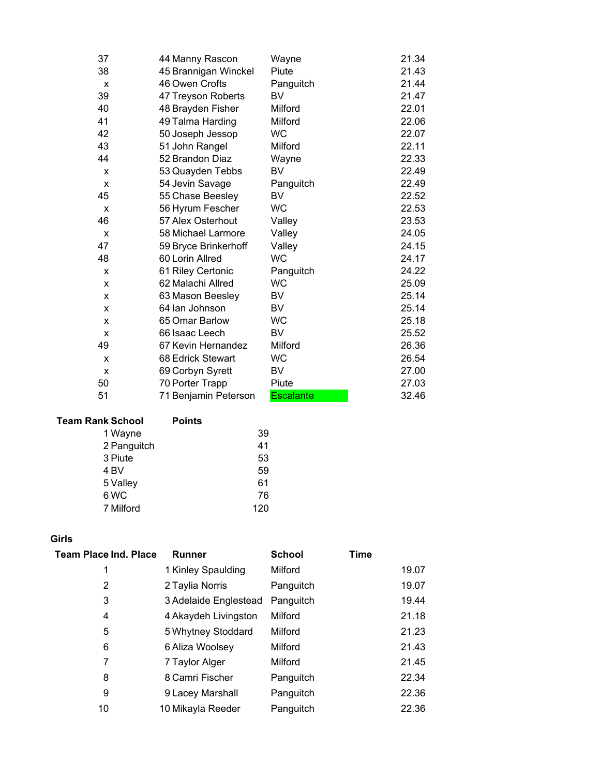| 37 | 44 Manny Rascon      | Wayne            | 21.34 |
|----|----------------------|------------------|-------|
| 38 | 45 Brannigan Winckel | Piute            | 21.43 |
| X  | 46 Owen Crofts       | Panguitch        | 21.44 |
| 39 | 47 Treyson Roberts   | BV               | 21.47 |
| 40 | 48 Brayden Fisher    | Milford          | 22.01 |
| 41 | 49 Talma Harding     | Milford          | 22.06 |
| 42 | 50 Joseph Jessop     | <b>WC</b>        | 22.07 |
| 43 | 51 John Rangel       | Milford          | 22.11 |
| 44 | 52 Brandon Diaz      | Wayne            | 22.33 |
| X  | 53 Quayden Tebbs     | BV               | 22.49 |
| X  | 54 Jevin Savage      | Panguitch        | 22.49 |
| 45 | 55 Chase Beesley     | BV               | 22.52 |
| X  | 56 Hyrum Fescher     | <b>WC</b>        | 22.53 |
| 46 | 57 Alex Osterhout    | Valley           | 23.53 |
| X  | 58 Michael Larmore   | Valley           | 24.05 |
| 47 | 59 Bryce Brinkerhoff | Valley           | 24.15 |
| 48 | 60 Lorin Allred      | <b>WC</b>        | 24.17 |
| x  | 61 Riley Certonic    | Panguitch        | 24.22 |
| X  | 62 Malachi Allred    | <b>WC</b>        | 25.09 |
| X  | 63 Mason Beesley     | <b>BV</b>        | 25.14 |
| x  | 64 lan Johnson       | <b>BV</b>        | 25.14 |
| X  | 65 Omar Barlow       | <b>WC</b>        | 25.18 |
| X  | 66 Isaac Leech       | BV               | 25.52 |
| 49 | 67 Kevin Hernandez   | Milford          | 26.36 |
| X  | 68 Edrick Stewart    | <b>WC</b>        | 26.54 |
| X  | 69 Corbyn Syrett     | BV               | 27.00 |
| 50 | 70 Porter Trapp      | Piute            | 27.03 |
| 51 | 71 Benjamin Peterson | <b>Escalante</b> | 32.46 |

## **Team Rank School Points** Wayne 39 Panguitch 41 3 Piute 53<br>4 BV 59  $4 BV$  Valley 61 6 WC 76

Milford 120

## **Girls**

| Team Place Ind. Place | <b>Runner</b>         | <b>School</b> | <b>Time</b> |       |
|-----------------------|-----------------------|---------------|-------------|-------|
| 1                     | 1 Kinley Spaulding    | Milford       |             | 19.07 |
| 2                     | 2 Taylia Norris       | Panguitch     |             | 19.07 |
| 3                     | 3 Adelaide Englestead | Panguitch     |             | 19.44 |
| 4                     | 4 Akaydeh Livingston  | Milford       |             | 21.18 |
| 5                     | 5 Whytney Stoddard    | Milford       |             | 21.23 |
| 6                     | 6 Aliza Woolsey       | Milford       |             | 21.43 |
| 7                     | 7 Taylor Alger        | Milford       |             | 21.45 |
| 8                     | 8 Camri Fischer       | Panguitch     |             | 22.34 |
| 9                     | 9 Lacey Marshall      | Panguitch     |             | 22.36 |
| 10                    | 10 Mikayla Reeder     | Panguitch     |             | 22.36 |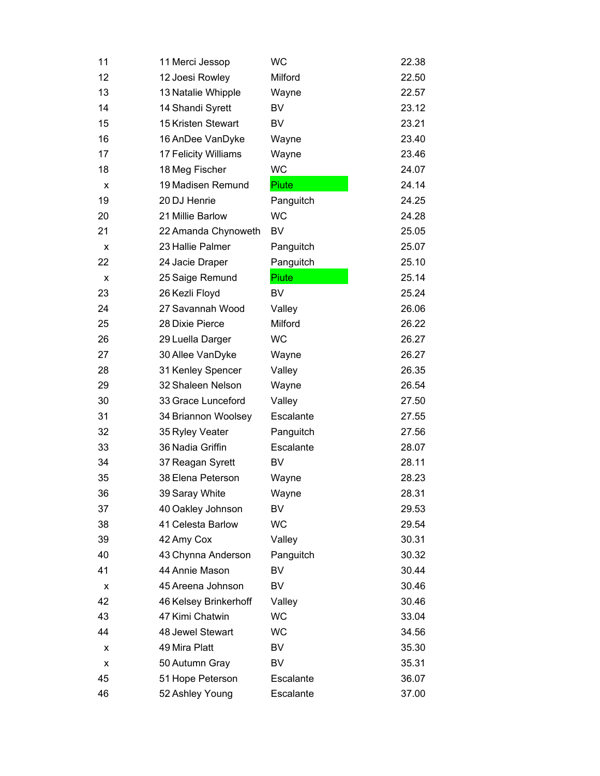| 11 | 11 Merci Jessop       | <b>WC</b> | 22.38 |
|----|-----------------------|-----------|-------|
| 12 | 12 Joesi Rowley       | Milford   | 22.50 |
| 13 | 13 Natalie Whipple    | Wayne     | 22.57 |
| 14 | 14 Shandi Syrett      | BV        | 23.12 |
| 15 | 15 Kristen Stewart    | BV        | 23.21 |
| 16 | 16 AnDee VanDyke      | Wayne     | 23.40 |
| 17 | 17 Felicity Williams  | Wayne     | 23.46 |
| 18 | 18 Meg Fischer        | <b>WC</b> | 24.07 |
| X  | 19 Madisen Remund     | Piute     | 24.14 |
| 19 | 20 DJ Henrie          | Panguitch | 24.25 |
| 20 | 21 Millie Barlow      | <b>WC</b> | 24.28 |
| 21 | 22 Amanda Chynoweth   | BV        | 25.05 |
| x  | 23 Hallie Palmer      | Panguitch | 25.07 |
| 22 | 24 Jacie Draper       | Panguitch | 25.10 |
| X  | 25 Saige Remund       | Piute     | 25.14 |
| 23 | 26 Kezli Floyd        | BV        | 25.24 |
| 24 | 27 Savannah Wood      | Valley    | 26.06 |
| 25 | 28 Dixie Pierce       | Milford   | 26.22 |
| 26 | 29 Luella Darger      | WC        | 26.27 |
| 27 | 30 Allee VanDyke      | Wayne     | 26.27 |
| 28 | 31 Kenley Spencer     | Valley    | 26.35 |
| 29 | 32 Shaleen Nelson     | Wayne     | 26.54 |
| 30 | 33 Grace Lunceford    | Valley    | 27.50 |
| 31 | 34 Briannon Woolsey   | Escalante | 27.55 |
| 32 | 35 Ryley Veater       | Panguitch | 27.56 |
| 33 | 36 Nadia Griffin      | Escalante | 28.07 |
| 34 | 37 Reagan Syrett      | BV        | 28.11 |
| 35 | 38 Elena Peterson     | Wayne     | 28.23 |
| 36 | 39 Saray White        | Wayne     | 28.31 |
| 37 | 40 Oakley Johnson     | BV        | 29.53 |
| 38 | 41 Celesta Barlow     | <b>WC</b> | 29.54 |
| 39 | 42 Amy Cox            | Valley    | 30.31 |
| 40 | 43 Chynna Anderson    | Panguitch | 30.32 |
| 41 | 44 Annie Mason        | BV        | 30.44 |
| x  | 45 Areena Johnson     | BV        | 30.46 |
| 42 | 46 Kelsey Brinkerhoff | Valley    | 30.46 |
| 43 | 47 Kimi Chatwin       | <b>WC</b> | 33.04 |
| 44 | 48 Jewel Stewart      | WC        | 34.56 |
| x  | 49 Mira Platt         | BV        | 35.30 |
| х  | 50 Autumn Gray        | BV        | 35.31 |
| 45 | 51 Hope Peterson      | Escalante | 36.07 |
| 46 | 52 Ashley Young       | Escalante | 37.00 |